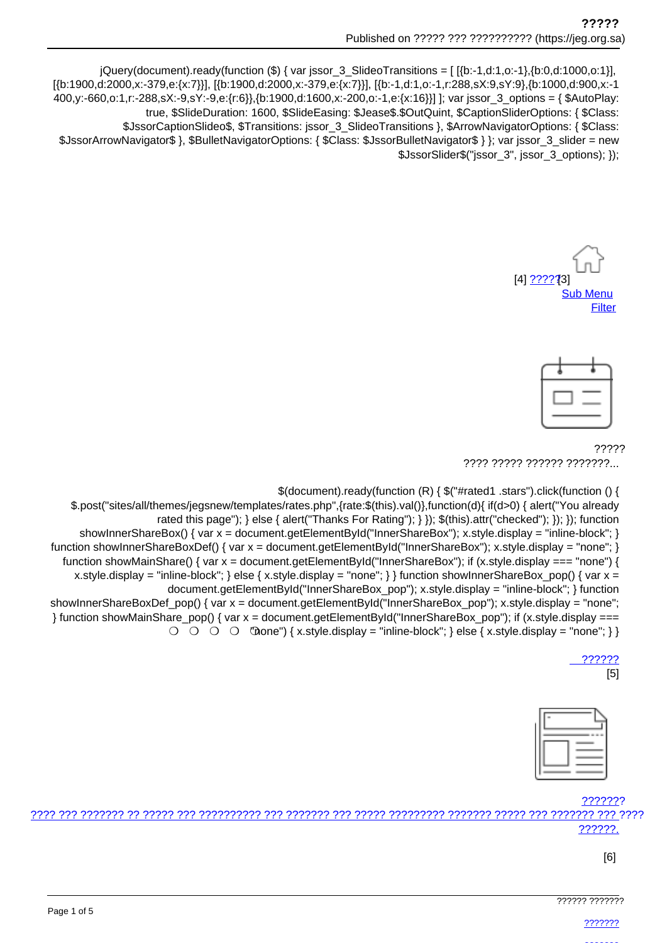jQuery(document).ready(function (\$) { var jssor\_3\_SlideoTransitions = [[{b:-1,d:1,o:-1},{b:0,d:1000,o:1}], [{b:1900,d:2000,x:-379,e:{x:7}}], [{b:1900,d:2000,x:-379,e:{x:7}}], [{b:-1,d:1,o:-1,r:288,sX:9,sY:9}, {b:1000,d:900,x:-1 400,y:-660,o:1,r:-288,sX:-9,sY:-9,e:{r:6}},{b:1900,d:1600,x:-200,o:-1,e:{x:16}}] ]; var jssor\_3\_options = { \$AutoPlay: true, \$SlideDuration: 1600, \$SlideEasing: \$Jease\$.\$OutQuint, \$CaptionSliderOptions: { \$Class: \$JssorCaptionSlideo\$, \$Transitions: jssor\_3\_SlideoTransitions }, \$ArrowNavigatorOptions: { \$Class: \$JssorArrowNavigator\$ }, \$BulletNavigatorOptions: { \$Class: \$JssorBulletNavigator\$ } }; var jssor\_3\_slider = new \$JssorSlider\$("jssor 3", jssor 3 options); });





77777 ???? ????? ?????? ???????...

\$(document).ready(function (R) { \$("#rated1 .stars").click(function () {

\$.post("sites/all/themes/jegsnew/templates/rates.php",{rate:\$(this).val()},function(d){ if(d>0) { alert("You already rated this page"); } else { alert("Thanks For Rating"); } }); \$(this).attr("checked"); }); }); function showInnerShareBox() { var x = document getElementById("InnerShareBox"); x.style.display = "inline-block"; } function showInnerShareBoxDef() { var  $x =$  document.getElementBvId("InnerShareBox"): x.style.display = "none"; } function showMainShare() { var  $x =$  document.getElementById("InnerShareBox"); if (x.style.display === "none") { x.style.display = "inline-block"; } else { x.style.display = "none"; } } function show Inner ShareBox pop() { var  $x =$ document.getElementById("InnerShareBox pop"); x.style.display = "inline-block"; } function showInnerShareBoxDef\_pop() { var x = document.getElementById("InnerShareBox\_pop"); x.style.display = "none"; } function showMainShare\_pop() { var x = document.getElementById("InnerShareBox\_pop"); if (x.style.display ===  $\bigcirc$   $\bigcirc$   $\bigcirc$   $\bigcirc$   $\bigcirc$   $\bigcirc$   $\bigcirc$   $\bigcirc$   $\bigcirc$   $\bigcirc$   $\bigcirc$   $\bigcirc$   $\bigcirc$   $\bigcirc$   $\bigcirc$   $\bigcirc$   $\bigcirc$   $\bigcirc$   $\bigcirc$   $\bigcirc$   $\bigcirc$   $\bigcirc$   $\bigcirc$   $\bigcirc$   $\bigcirc$   $\bigcirc$   $\bigcirc$   $\bigcirc$   $\bigcirc$   $\bigcirc$   $\bigcirc$   $\bigcirc$   $\bigcirc$   $\bigcirc$   $\bigcirc$   $\bigcirc$   $\bigcirc$ 

777777

 $[5]$ 



## ???????

ורור ררך ררבררכבר ררך ררכבר רברכבר רברכברכבר רברכב רבר רבר ברברכב רבר ברברכבר רבר ברכב ברבר כך הרברכבר רבר ברכ ??????.

 $[6]$ 

|  |  |  |  |  |  | ,,,,,,, ,,,,,,, |  |  |  |  |  |  |
|--|--|--|--|--|--|-----------------|--|--|--|--|--|--|
|  |  |  |  |  |  |                 |  |  |  |  |  |  |
|  |  |  |  |  |  |                 |  |  |  |  |  |  |
|  |  |  |  |  |  |                 |  |  |  |  |  |  |
|  |  |  |  |  |  |                 |  |  |  |  |  |  |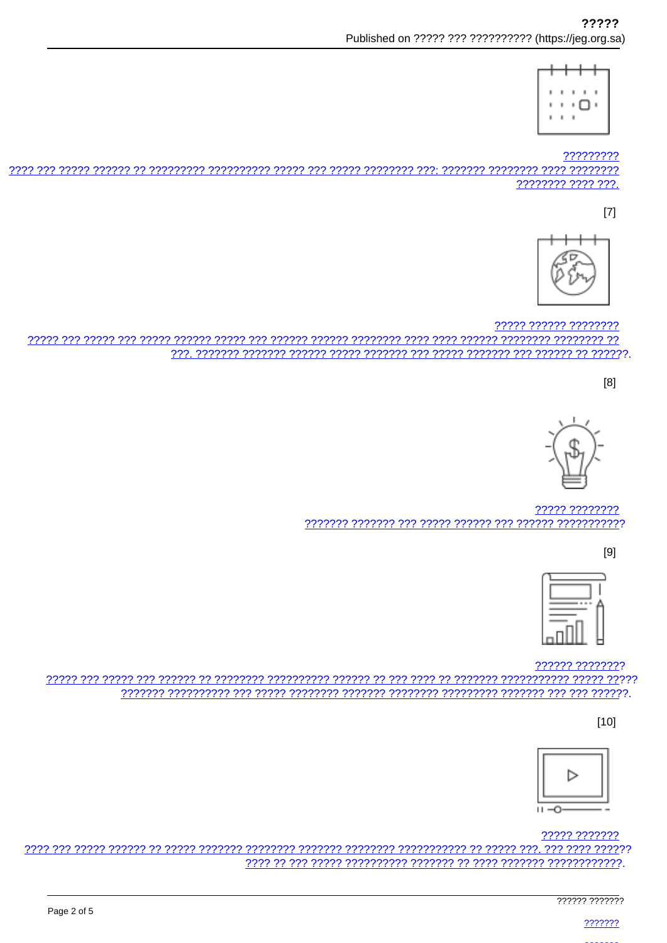

?????????

22222222 2222 222.

 $[7]$ 



????? ?????? ???????? 

 $[8]$ 



????? ???????? 

 $[9]$ 



?????? ????????

 $[10]$ 



????? ???????

777777 7777777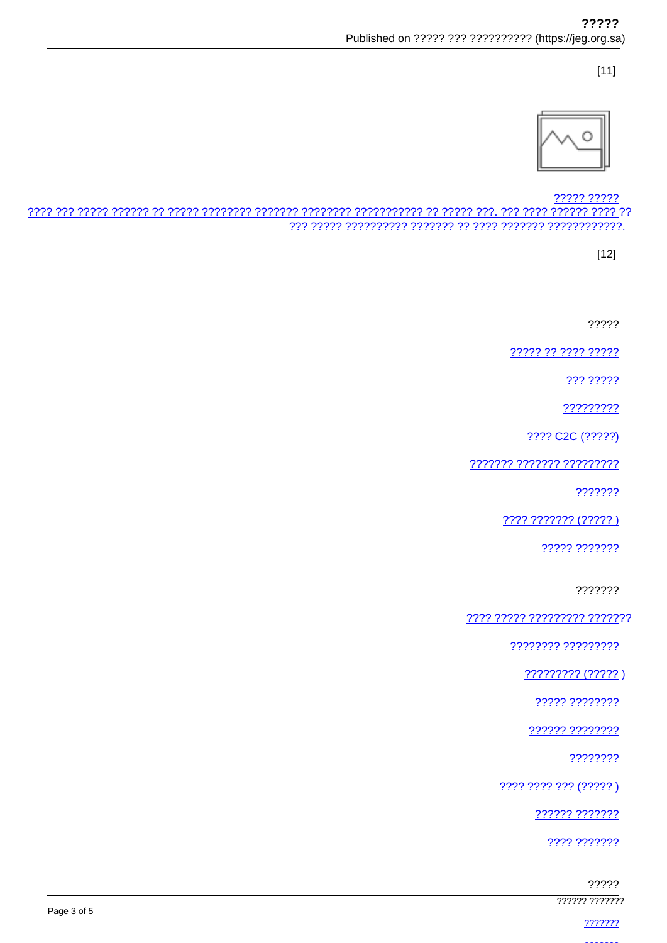$[11]$ 



????? ?????

 $[12]$ 

?????

????? ?? ???? ?????

??? ?????

?????????

???? C2C (?????)

7777777 7777777 777777777

???????

???? ??????? (????? )

????? ???????

???????

7777 77777 777777777 7777777

77777777 777777777

????????? (?????)

<u> ????? ????????</u>

?????? ????????

????????

???? ???? ??? (????? )

222222 2222222

???? ???????

?????

777777 7777777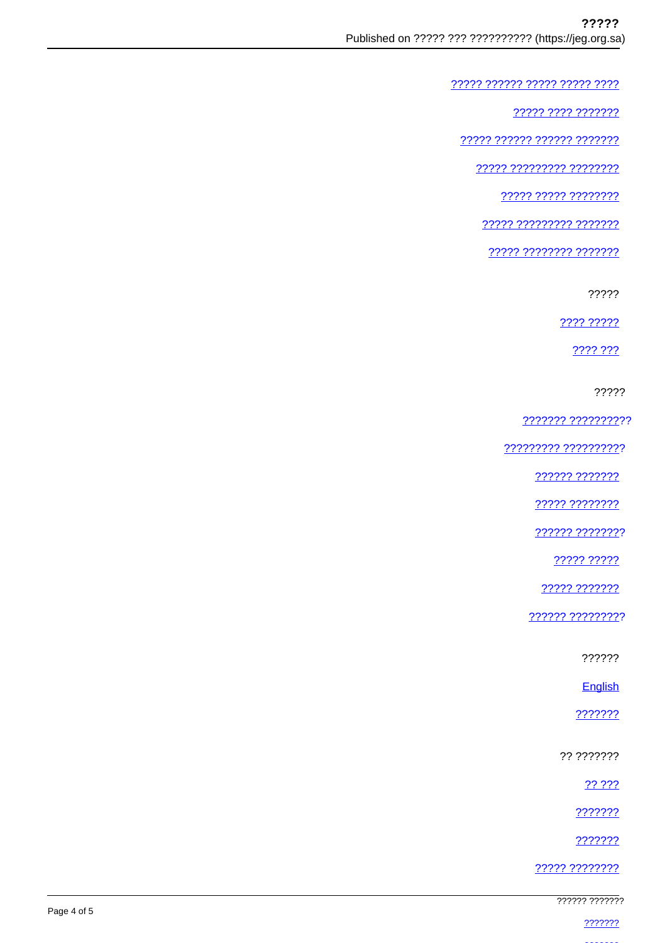????? ?????? ????? ????? ????

<u>????? ???? ????????</u>

77777 777777 777777 7777777

77777 777777777 77777777

77777 77777 77777777

22222 222222222 2222222

????? ???????? ???????

?????

???? ?????

???? ???

?????

??????? ??????????

????????? ???????????

222222 2222222

????? ????????

222222 22222222

????? ?????

????? ???????

?????? ?????????

??????

English

???????

?? ???????

22 222

???????

???????

22222 22222222

777777 7777777